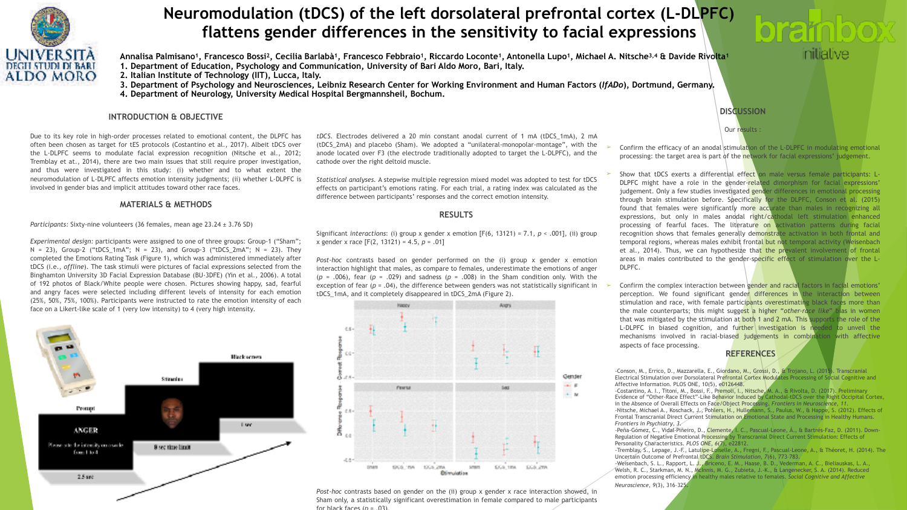

# **Neuromodulation (tDCS) of the left dorsolateral prefrontal cortex (L-DLPFC) flattens gender differences in the sensitivity to facial expressions**

**Annalisa Palmisano1, Francesco Bossi2, Cecilia Barlabà1, Francesco Febbraio1, Riccardo Loconte1, Antonella Lupo1, Michael A. Nitsche3,4 & Davide Rivolta1 1. Department of Education, Psychology and Communication, University of Bari Aldo Moro, Bari, Italy.** 

**2. Italian Institute of Technology (IIT), Lucca, Italy.** 

- **3. Department of Psychology and Neurosciences, Leibniz Research Center for Working Environment and Human Factors (***IfADo***), Dortmund, Germany.**
- **4. Department of Neurology, University Medical Hospital Bergmannsheil, Bochum.**

# **INTRODUCTION & OBJECTIVE**

Due to its key role in high-order processes related to emotional content, the DLPFC has often been chosen as target for tES protocols (Costantino et al., 2017). Albeit tDCS over the L-DLPFC seems to modulate facial expression recognition (Nitsche et al., 2012; Tremblay et at., 2014), there are two main issues that still require proper investigation, and thus were investigated in this study: (i) whether and to what extent the neuromodulation of L-DLPFC affects emotion intensity judgments; (ii) whether L-DLPFC is involved in gender bias and implicit attitudes toward other race faces.

### **MATERIALS & METHODS**

*Participants:* Sixty-nine volunteers (36 females, mean age 23.24 ± 3.76 SD)

*Experimental design:* participants were assigned to one of three groups: Group-1 ("Sham";  $N = 23$ , Group-2 ("tDCS\_1mA";  $N = 23$ ), and Group-3 ("tDCS\_2mA";  $N = 23$ ). They completed the Emotions Rating Task (Figure 1), which was administered immediately after tDCS (i.e., *offline*). The task stimuli were pictures of facial expressions selected from the Binghamton University 3D Facial Expression Database (BU-3DFE) (Yin et al., 2006). A total of 192 photos of Black/White people were chosen. Pictures showing happy, sad, fearful and angry faces were selected including different levels of intensity for each emotion (25%, 50%, 75%, 100%). Participants were instructed to rate the emotion intensity of each face on a Likert-like scale of 1 (very low intensity) to 4 (very high intensity*.*



*tDCS.* Electrodes delivered a 20 min constant anodal current of 1 mA (tDCS\_1mA), 2 mA (tDCS\_2mA) and placebo (Sham). We adopted a "unilateral-monopolar-montage", with the anode located over F3 (the electrode traditionally adopted to target the L-DLPFC), and the cathode over the right deltoid muscle.

*Statistical analyses.* A stepwise multiple regression mixed model was adopted to test for tDCS effects on participant's emotions rating. For each trial, a rating index was calculated as the difference between participants' responses and the correct emotion intensity.

# **RESULTS**

Significant *interactions*: (i) group x gender x emotion [F(6, 13121) = 7.1, *p* < .001], (ii) group x gender x race [F(2, 13121) = 4.5, *p* = .01]

*Post-hoc* contrasts based on gender performed on the (i) group x gender x emotion interaction highlight that males, as compare to females, underestimate the emotions of anger  $(p = .006)$ , fear  $(p = .029)$  and sadness  $(p = .008)$  in the Sham condition only. With the exception of fear  $(p = .04)$ , the difference between genders was not statistically significant in tDCS\_1mA, and it completely disappeared in tDCS\_2mA (Figure 2).



*Post-hoc* contrasts based on gender on the (ii) group x gender x race interaction showed, in Sham only, a statistically significant overestimation in female compared to male participants for black faces  $(p - 03)$ .

Confirm the efficacy of an anodal stimulation of the L-DLPFC in modulating emotional processing: the target area is part of the network for facial expressions' judgement.

**DISCUSSION**

initiative

Our results :

- Show that tDCS exerts a differential effect on male versus female participants: L-DLPFC might have a role in the gender-related dimorphism for facial expressions' judgement. Only a few studies investigated gender differences in emotional processing through brain stimulation before. Specifically for the DLPFC, Conson et al. (2015) found that females were significantly more accurate than males in recognizing all expressions, but only in males anodal right/cathodal left stimulation enhanced processing of fearful faces. The literature on activation patterns during facial recognition shows that females generally demonstrate activation in both frontal and temporal regions, whereas males exhibit frontal but not temporal activity (Weisenbach et al., 2014). Thus, we can hypothesize that the prevalent involvement of frontal areas in males contributed to the gender-specific effect of stimulation over the L-DLPFC.
- Confirm the complex interaction between gender and racial factors in facial emotions' perception. We found significant gender differences in the interaction between stimulation and race, with female participants overestimating black faces more than the male counterparts; this might suggest a higher "*other-race like*" bias in women that was mitigated by the stimulation at both 1 and 2 mA. This supports the role of the L-DLPFC in biased cognition, and further investigation is needed to unveil the mechanisms involved in racial-biased judgements in combination with affective aspects of face processing.

**REFERENCES**

-Conson, M., Errico, D., Mazzarella, E., Giordano, M., Grossi, D., & Trojano, L. (2015). Transcranial Electrical Stimulation over Dorsolateral Prefrontal Cortex Modulates Processing of Social Cognitive and Affective Information. PLOS ONE, 10(5), e0126448.

-Costantino, A. I., Titoni, M., Bossi, F., Premoli, I., Nitsche, M. A., & Rivolta, D. (2017). Preliminary Evidence of "Other-Race Effect"-Like Behavior Induced by Cathodal-tDCS over the Right Occipital Cortex, in the Absence of Overall Effects on Face/Object Processing. *Frontiers in Neuroscience*, *11*. -Nitsche, Michael A., Koschack, J., Pohlers, H., Hullemann, S., Paulus, W., & Happe, S. (2012). Effects of Frontal Transcranial Direct Current Stimulation on Emotional State and Processing in Healthy Humans. *Frontiers in Psychiatry*, *3*.

-Peña-Gómez, C., Vidal-Piñeiro, D., Clemente, I. C., Pascual-Leone, Á., & Bartrés-Faz, D. (2011). Down-Regulation of Negative Emotional Processing by Transcranial Direct Current Stimulation: Effects of Personality Characteristics. *PLOS ONE*, *6*(7), e22812.

-Tremblay, S., Lepage, J.-F., Latulipe-Loiselle, A., Fregni, F., Pascual-Leone, A., & Théoret, H. (2014). The Uncertain Outcome of Prefrontal tDCS. *Brain Stimulation*, *7*(6), 773–783. -Weisenbach, S. L., Rapport, L. J., Briceno, E. M., Haase, B. D., Vederman, A. C., Bieliauskas, L. A.,

Welsh, R. C., Starkman, M. N., McInnis, M. G., Zubieta, J.-K., & Langenecker, S. A. (2014). Reduced emotion processing efficiency in healthy males relative to females. *Social Cognitive and Affective Neuroscience*, *9*(3), 316–325.